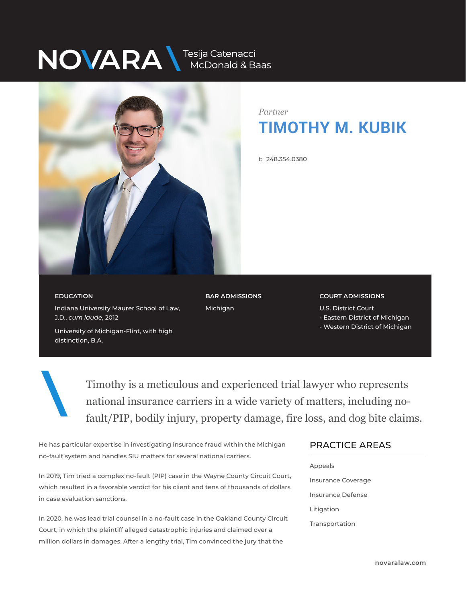# NOVARA MEDOnald & Baas



*Partner* **TIMOTHY M. KUBIK**

t: 248.354.0380

### **EDUCATION**

distinction, B.A.

Indiana University Maurer School of Law, J.D., *cum laude*, 2012

University of Michigan-Flint, with high

**BAR ADMISSIONS** Michigan

### **COURT ADMISSIONS**

U.S. District Court

- Eastern District of Michigan
- Western District of Michigan

Timothy is a meticulous and experienced trial lawyer who represents national insurance carriers in a wide variety of matters, including nofault/PIP, bodily injury, property damage, fire loss, and dog bite claims.

He has particular expertise in investigating insurance fraud within the Michigan no-fault system and handles SIU matters for several national carriers.

In 2019, Tim tried a complex no-fault (PIP) case in the Wayne County Circuit Court, which resulted in a favorable verdict for his client and tens of thousands of dollars in case evaluation sanctions.

In 2020, he was lead trial counsel in a no-fault case in the Oakland County Circuit Court, in which the plaintiff alleged catastrophic injuries and claimed over a million dollars in damages. After a lengthy trial, Tim convinced the jury that the

## PRACTICE AREAS  $\overline{\phantom{a}}$

Appeals

Insurance Coverage Insurance Defense Litigation Transportation